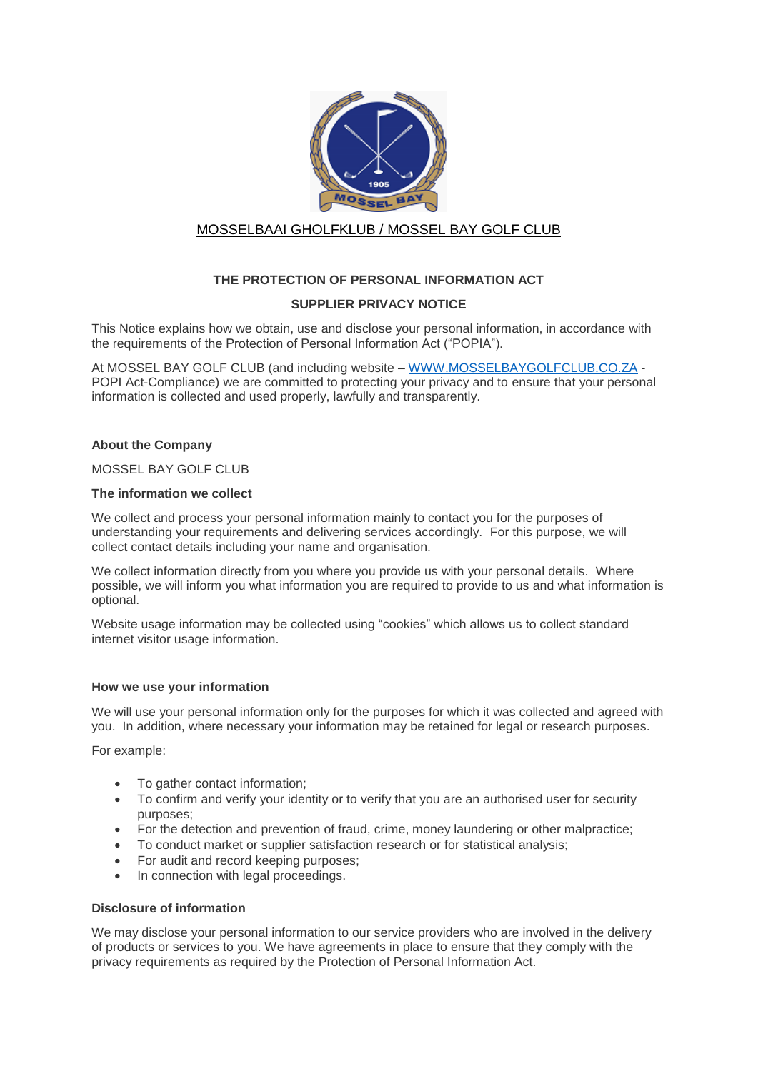

# MOSSELBAAI GHOLFKLUB / MOSSEL BAY GOLF CLUB

## **THE PROTECTION OF PERSONAL INFORMATION ACT**

## **SUPPLIER PRIVACY NOTICE**

This Notice explains how we obtain, use and disclose your personal information, in accordance with the requirements of the Protection of Personal Information Act ("POPIA").

At MOSSEL BAY GOLF CLUB (and including website – [WWW.MOSSELBAYGOLFCLUB.CO.ZA](http://www.mosselbaygolfclub.co.za/) - POPI Act-Compliance) we are committed to protecting your privacy and to ensure that your personal information is collected and used properly, lawfully and transparently.

### **About the Company**

## MOSSEL BAY GOLF CLUB

## **The information we collect**

We collect and process your personal information mainly to contact you for the purposes of understanding your requirements and delivering services accordingly. For this purpose, we will collect contact details including your name and organisation.

We collect information directly from you where you provide us with your personal details. Where possible, we will inform you what information you are required to provide to us and what information is optional.

Website usage information may be collected using "cookies" which allows us to collect standard internet visitor usage information.

## **How we use your information**

We will use your personal information only for the purposes for which it was collected and agreed with you. In addition, where necessary your information may be retained for legal or research purposes.

For example:

- To gather contact information;
- To confirm and verify your identity or to verify that you are an authorised user for security purposes;
- For the detection and prevention of fraud, crime, money laundering or other malpractice;
- To conduct market or supplier satisfaction research or for statistical analysis;
- For audit and record keeping purposes;
- In connection with legal proceedings.

#### **Disclosure of information**

We may disclose your personal information to our service providers who are involved in the delivery of products or services to you. We have agreements in place to ensure that they comply with the privacy requirements as required by the Protection of Personal Information Act.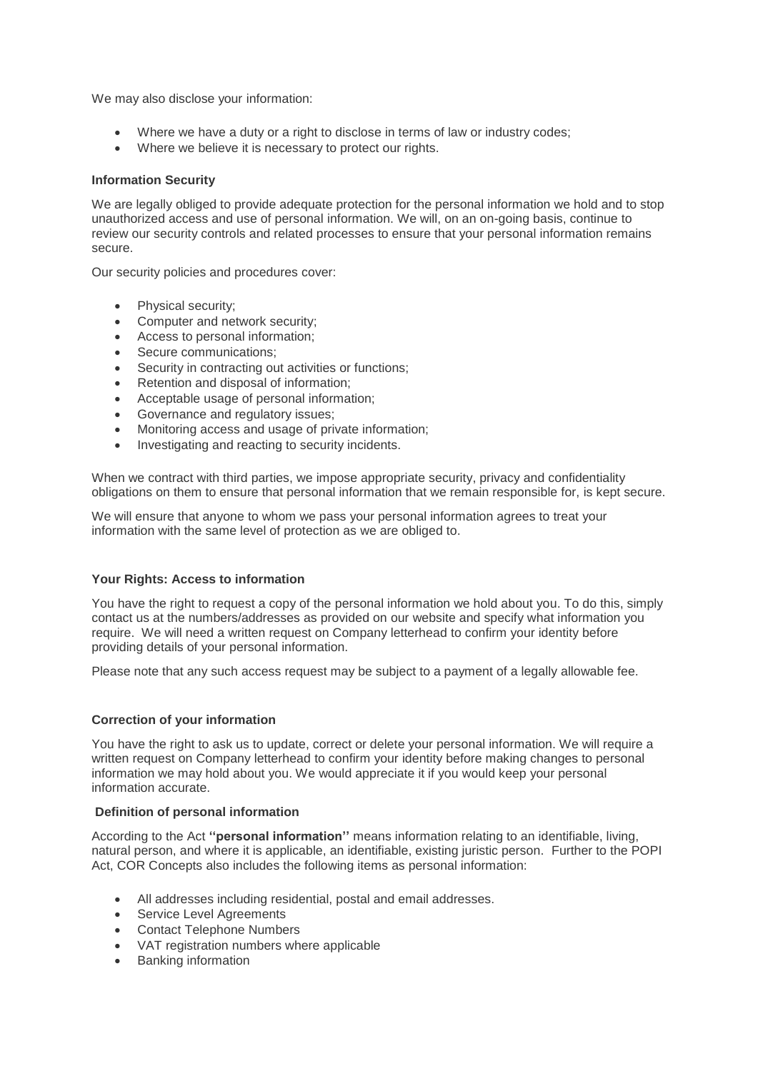We may also disclose your information:

- Where we have a duty or a right to disclose in terms of law or industry codes;
- Where we believe it is necessary to protect our rights.

#### **Information Security**

We are legally obliged to provide adequate protection for the personal information we hold and to stop unauthorized access and use of personal information. We will, on an on-going basis, continue to review our security controls and related processes to ensure that your personal information remains secure.

Our security policies and procedures cover:

- Physical security;
- Computer and network security;
- Access to personal information;
- Secure communications;
- Security in contracting out activities or functions;
- Retention and disposal of information;
- Acceptable usage of personal information;
- Governance and regulatory issues:
- Monitoring access and usage of private information;
- Investigating and reacting to security incidents.

When we contract with third parties, we impose appropriate security, privacy and confidentiality obligations on them to ensure that personal information that we remain responsible for, is kept secure.

We will ensure that anyone to whom we pass your personal information agrees to treat your information with the same level of protection as we are obliged to.

#### **Your Rights: Access to information**

You have the right to request a copy of the personal information we hold about you. To do this, simply contact us at the numbers/addresses as provided on our website and specify what information you require. We will need a written request on Company letterhead to confirm your identity before providing details of your personal information.

Please note that any such access request may be subject to a payment of a legally allowable fee.

#### **Correction of your information**

You have the right to ask us to update, correct or delete your personal information. We will require a written request on Company letterhead to confirm your identity before making changes to personal information we may hold about you. We would appreciate it if you would keep your personal information accurate.

#### **Definition of personal information**

According to the Act **''personal information''** means information relating to an identifiable, living, natural person, and where it is applicable, an identifiable, existing juristic person. Further to the POPI Act, COR Concepts also includes the following items as personal information:

- All addresses including residential, postal and email addresses.
- Service Level Agreements
- Contact Telephone Numbers
- VAT registration numbers where applicable
- Banking information